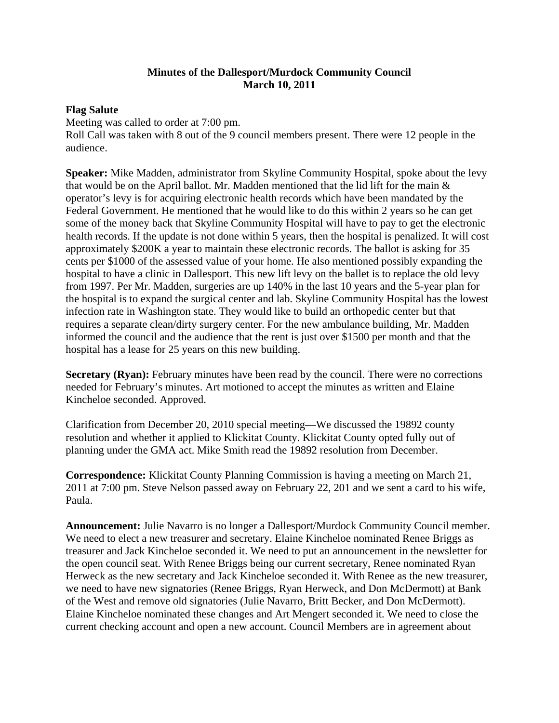## **Minutes of the Dallesport/Murdock Community Council March 10, 2011**

## **Flag Salute**

Meeting was called to order at 7:00 pm. Roll Call was taken with 8 out of the 9 council members present. There were 12 people in the audience.

**Speaker:** Mike Madden, administrator from Skyline Community Hospital, spoke about the levy that would be on the April ballot. Mr. Madden mentioned that the lid lift for the main & operator's levy is for acquiring electronic health records which have been mandated by the Federal Government. He mentioned that he would like to do this within 2 years so he can get some of the money back that Skyline Community Hospital will have to pay to get the electronic health records. If the update is not done within 5 years, then the hospital is penalized. It will cost approximately \$200K a year to maintain these electronic records. The ballot is asking for 35 cents per \$1000 of the assessed value of your home. He also mentioned possibly expanding the hospital to have a clinic in Dallesport. This new lift levy on the ballet is to replace the old levy from 1997. Per Mr. Madden, surgeries are up 140% in the last 10 years and the 5-year plan for the hospital is to expand the surgical center and lab. Skyline Community Hospital has the lowest infection rate in Washington state. They would like to build an orthopedic center but that requires a separate clean/dirty surgery center. For the new ambulance building, Mr. Madden informed the council and the audience that the rent is just over \$1500 per month and that the hospital has a lease for 25 years on this new building.

**Secretary (Ryan):** February minutes have been read by the council. There were no corrections needed for February's minutes. Art motioned to accept the minutes as written and Elaine Kincheloe seconded. Approved.

Clarification from December 20, 2010 special meeting—We discussed the 19892 county resolution and whether it applied to Klickitat County. Klickitat County opted fully out of planning under the GMA act. Mike Smith read the 19892 resolution from December.

**Correspondence:** Klickitat County Planning Commission is having a meeting on March 21, 2011 at 7:00 pm. Steve Nelson passed away on February 22, 201 and we sent a card to his wife, Paula.

**Announcement:** Julie Navarro is no longer a Dallesport/Murdock Community Council member. We need to elect a new treasurer and secretary. Elaine Kincheloe nominated Renee Briggs as treasurer and Jack Kincheloe seconded it. We need to put an announcement in the newsletter for the open council seat. With Renee Briggs being our current secretary, Renee nominated Ryan Herweck as the new secretary and Jack Kincheloe seconded it. With Renee as the new treasurer, we need to have new signatories (Renee Briggs, Ryan Herweck, and Don McDermott) at Bank of the West and remove old signatories (Julie Navarro, Britt Becker, and Don McDermott). Elaine Kincheloe nominated these changes and Art Mengert seconded it. We need to close the current checking account and open a new account. Council Members are in agreement about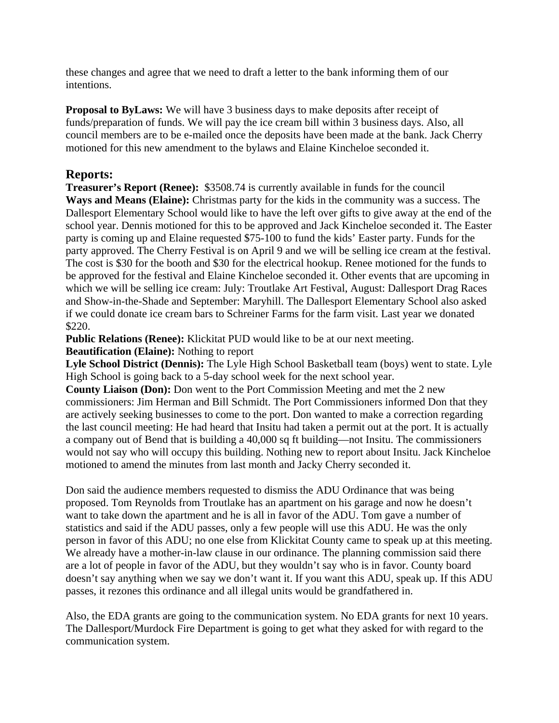these changes and agree that we need to draft a letter to the bank informing them of our intentions.

**Proposal to ByLaws:** We will have 3 business days to make deposits after receipt of funds/preparation of funds. We will pay the ice cream bill within 3 business days. Also, all council members are to be e-mailed once the deposits have been made at the bank. Jack Cherry motioned for this new amendment to the bylaws and Elaine Kincheloe seconded it.

## **Reports:**

**Treasurer's Report (Renee):** \$3508.74 is currently available in funds for the council **Ways and Means (Elaine):** Christmas party for the kids in the community was a success. The Dallesport Elementary School would like to have the left over gifts to give away at the end of the school year. Dennis motioned for this to be approved and Jack Kincheloe seconded it. The Easter party is coming up and Elaine requested \$75-100 to fund the kids' Easter party. Funds for the party approved. The Cherry Festival is on April 9 and we will be selling ice cream at the festival. The cost is \$30 for the booth and \$30 for the electrical hookup. Renee motioned for the funds to be approved for the festival and Elaine Kincheloe seconded it. Other events that are upcoming in which we will be selling ice cream: July: Troutlake Art Festival, August: Dallesport Drag Races and Show-in-the-Shade and September: Maryhill. The Dallesport Elementary School also asked if we could donate ice cream bars to Schreiner Farms for the farm visit. Last year we donated \$220.

**Public Relations (Renee):** Klickitat PUD would like to be at our next meeting.

**Beautification (Elaine):** Nothing to report

**Lyle School District (Dennis):** The Lyle High School Basketball team (boys) went to state. Lyle High School is going back to a 5-day school week for the next school year.

**County Liaison (Don):** Don went to the Port Commission Meeting and met the 2 new commissioners: Jim Herman and Bill Schmidt. The Port Commissioners informed Don that they are actively seeking businesses to come to the port. Don wanted to make a correction regarding the last council meeting: He had heard that Insitu had taken a permit out at the port. It is actually a company out of Bend that is building a 40,000 sq ft building—not Insitu. The commissioners would not say who will occupy this building. Nothing new to report about Insitu. Jack Kincheloe motioned to amend the minutes from last month and Jacky Cherry seconded it.

Don said the audience members requested to dismiss the ADU Ordinance that was being proposed. Tom Reynolds from Troutlake has an apartment on his garage and now he doesn't want to take down the apartment and he is all in favor of the ADU. Tom gave a number of statistics and said if the ADU passes, only a few people will use this ADU. He was the only person in favor of this ADU; no one else from Klickitat County came to speak up at this meeting. We already have a mother-in-law clause in our ordinance. The planning commission said there are a lot of people in favor of the ADU, but they wouldn't say who is in favor. County board doesn't say anything when we say we don't want it. If you want this ADU, speak up. If this ADU passes, it rezones this ordinance and all illegal units would be grandfathered in.

Also, the EDA grants are going to the communication system. No EDA grants for next 10 years. The Dallesport/Murdock Fire Department is going to get what they asked for with regard to the communication system.